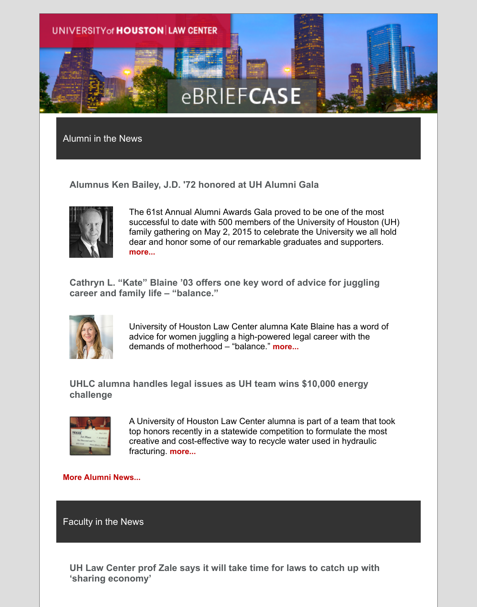

Alumni in the News

**Alumnus Ken Bailey, J.D. '72 honored at UH Alumni Gala**



The 61st Annual Alumni Awards Gala proved to be one of the most successful to date with 500 members of the University of Houston (UH) family gathering on May 2, 2015 to celebrate the University we all hold dear and honor some of our remarkable graduates and supporters. **[more...](http://uhouston.imodules.com/redirect.aspx?linkID=30196&eid=%5BMEMBER_ID_HERE%5D)**

**Cathryn L. "Kate" Blaine '03 offers one key word of advice for juggling career and family life – "balance."**



University of Houston Law Center alumna Kate Blaine has a word of advice for women juggling a high-powered legal career with the demands of motherhood – "balance." **[more...](http://uhouston.imodules.com/redirect.aspx?linkID=30195&eid=%5BMEMBER_ID_HERE%5D)**

**UHLC alumna handles legal issues as UH team wins \$10,000 energy challenge**



A University of Houston Law Center alumna is part of a team that took top honors recently in a statewide competition to formulate the most creative and cost-effective way to recycle water used in hydraulic fracturing. **[more...](http://uhouston.imodules.com/redirect.aspx?linkID=30194&eid=%5BMEMBER_ID_HERE%5D)**

**[More Alumni News...](http://uhouston.imodules.com/redirect.aspx?linkID=30193&eid=%5BMEMBER_ID_HERE%5D)**

Faculty in the News

**UH Law Center prof Zale says it will take time for laws to catch up with 'sharing economy'**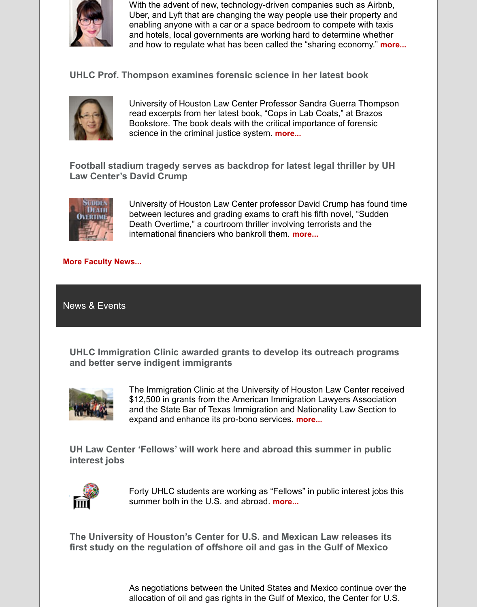

With the advent of new, technology-driven companies such as Airbnb, Uber, and Lyft that are changing the way people use their property and enabling anyone with a car or a space bedroom to compete with taxis and hotels, local governments are working hard to determine whether and how to regulate what has been called the "sharing economy." **[more...](http://uhouston.imodules.com/redirect.aspx?linkID=30192&eid=%5BMEMBER_ID_HERE%5D)**

**UHLC Prof. Thompson examines forensic science in her latest book**



University of Houston Law Center Professor Sandra Guerra Thompson read excerpts from her latest book, "Cops in Lab Coats," at Brazos Bookstore. The book deals with the critical importance of forensic science in the criminal justice system. **[more...](http://uhouston.imodules.com/redirect.aspx?linkID=30191&eid=%5BMEMBER_ID_HERE%5D)**

**Football stadium tragedy serves as backdrop for latest legal thriller by UH Law Center's David Crump**



University of Houston Law Center professor David Crump has found time between lectures and grading exams to craft his fifth novel, "Sudden Death Overtime," a courtroom thriller involving terrorists and the international financiers who bankroll them. **[more...](http://uhouston.imodules.com/redirect.aspx?linkID=30190&eid=%5BMEMBER_ID_HERE%5D)**

## **[More Faculty News...](http://uhouston.imodules.com/redirect.aspx?linkID=30189&eid=%5BMEMBER_ID_HERE%5D)**

News & Events

**UHLC Immigration Clinic awarded grants to develop its outreach programs and better serve indigent immigrants**



The Immigration Clinic at the University of Houston Law Center received \$12,500 in grants from the American Immigration Lawyers Association and the State Bar of Texas Immigration and Nationality Law Section to expand and enhance its pro-bono services. **[more...](http://uhouston.imodules.com/redirect.aspx?linkID=30188&eid=%5BMEMBER_ID_HERE%5D)**

**UH Law Center 'Fellows' will work here and abroad this summer in public interest jobs**



Forty UHLC students are working as "Fellows" in public interest jobs this summer both in the U.S. and abroad. **[more...](http://uhouston.imodules.com/redirect.aspx?linkID=30186&eid=%5BMEMBER_ID_HERE%5D)**

**The University of Houston's Center for U.S. and Mexican Law releases its first study on the regulation of offshore oil and gas in the Gulf of Mexico**

> As negotiations between the United States and Mexico continue over the allocation of oil and gas rights in the Gulf of Mexico, the Center for U.S.